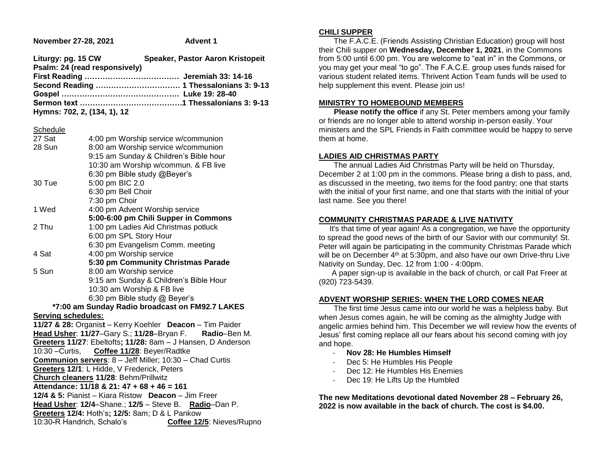| November 27-28, 2021                                    |                                           | <b>Advent 1</b>                                              |
|---------------------------------------------------------|-------------------------------------------|--------------------------------------------------------------|
| Liturgy: pg. 15 CW                                      | Psalm: 24 (read responsively)             | Speaker, Pastor Aaron Kristopeit                             |
|                                                         |                                           | Second Reading  1 Thessalonians 3: 9-13                      |
| Hymns: 702, 2, (134, 1), 12                             |                                           |                                                              |
| Schedule                                                |                                           |                                                              |
| 27 Sat                                                  |                                           | 4:00 pm Worship service w/communion                          |
| 28 Sun                                                  |                                           | 8:00 am Worship service w/communion                          |
|                                                         |                                           | 9:15 am Sunday & Children's Bible hour                       |
|                                                         |                                           | 10:30 am Worship w/commun. & FB live                         |
|                                                         | 6:30 pm Bible study @Beyer's              |                                                              |
| 30 Tue                                                  | 5:00 pm BIC 2.0                           |                                                              |
|                                                         | 6:30 pm Bell Choir                        |                                                              |
|                                                         | 7:30 pm Choir                             |                                                              |
| 1 Wed                                                   | 4:00 pm Advent Worship service            |                                                              |
|                                                         |                                           | 5:00-6:00 pm Chili Supper in Commons                         |
| 2 Thu                                                   | 1:00 pm Ladies Aid Christmas potluck      |                                                              |
|                                                         | 6:00 pm SPL Story Hour                    |                                                              |
|                                                         | 6:30 pm Evangelism Comm. meeting          |                                                              |
| 4 Sat                                                   | 4:00 pm Worship service                   |                                                              |
|                                                         |                                           | 5:30 pm Community Christmas Parade                           |
| 5 Sun                                                   | 8:00 am Worship service                   |                                                              |
|                                                         |                                           | 9:15 am Sunday & Children's Bible Hour                       |
|                                                         | 10:30 am Worship & FB live                |                                                              |
|                                                         | 6:30 pm Bible study @ Beyer's             |                                                              |
|                                                         |                                           | *7:00 am Sunday Radio broadcast on FM92.7 LAKES              |
| <b>Serving schedules:</b>                               |                                           |                                                              |
|                                                         |                                           | 11/27 & 28: Organist - Kerry Koehler Deacon - Tim Paider     |
|                                                         | Head Usher: 11/27-Gary S.; 11/28-Bryan F. | Radio-Ben M.                                                 |
|                                                         |                                           | Greeters 11/27: Ebeltofts; 11/28: 8am - J Hansen, D Anderson |
| 10:30 - Curtis,                                         | Coffee 11/28: Beyer/Radtke                |                                                              |
| Communion servers: 8 - Jeff Miller; 10:30 - Chad Curtis |                                           |                                                              |
| Greeters 12/1: L Hidde, V Frederick, Peters             |                                           |                                                              |
| Church cleaners 11/28: Behm/Prillwitz                   |                                           |                                                              |
| Attendance: 11/18 & 21: 47 + 68 + 46 = 161              |                                           |                                                              |
| 12/4 & 5: Pianist - Kiara Ristow Deacon - Jim Freer     |                                           |                                                              |
| Head Usher: 12/4-Shane.; 12/5 - Steve B. Radio-Dan P.   |                                           |                                                              |
| Greeters 12/4: Hoth's; 12/5: 8am; D & L Pankow          |                                           |                                                              |
| 10:30-R Handrich, Schalo's<br>Coffee 12/5: Nieves/Rupno |                                           |                                                              |

#### **CHILI SUPPER**

 The F.A.C.E. (Friends Assisting Christian Education) group will host their Chili supper on **Wednesday, December 1, 2021**, in the Commons from 5:00 until 6:00 pm. You are welcome to "eat in" in the Commons, or you may get your meal "to go". The F.A.C.E. group uses funds raised for various student related items. Thrivent Action Team funds will be used to help supplement this event. Please join us!

### **MINISTRY TO HOMEBOUND MEMBERS**

**Please notify the office** if any St. Peter members among your family or friends are no longer able to attend worship in-person easily. Your ministers and the SPL Friends in Faith committee would be happy to serve them at home.

### **LADIES AID CHRISTMAS PARTY**

 The annual Ladies Aid Christmas Party will be held on Thursday, December 2 at 1:00 pm in the commons. Please bring a dish to pass, and, as discussed in the meeting, two items for the food pantry; one that starts with the initial of your first name, and one that starts with the initial of your last name. See you there!

### **COMMUNITY CHRISTMAS PARADE & LIVE NATIVITY**

 It's that time of year again! As a congregation, we have the opportunity to spread the good news of the birth of our Savior with our community! St. Peter will again be participating in the community Christmas Parade which will be on December 4<sup>th</sup> at 5:30pm, and also have our own Drive-thru Live Nativity on Sunday, Dec. 12 from 1:00 - 4:00pm.

 A paper sign-up is available in the back of church, or call Pat Freer at (920) 723-5439.

### **ADVENT WORSHIP SERIES: WHEN THE LORD COMES NEAR**

 The first time Jesus came into our world he was a helpless baby. But when Jesus comes again, he will be coming as the almighty Judge with angelic armies behind him. This December we will review how the events of Jesus' first coming replace all our fears about his second coming with joy and hope.

- **Nov 28: He Humbles Himself**
- Dec 5: He Humbles His People
- Dec 12: He Humbles His Enemies
- Dec 19: He Lifts Up the Humbled

**The new Meditations devotional dated November 28 – February 26, 2022 is now available in the back of church. The cost is \$4.00.**